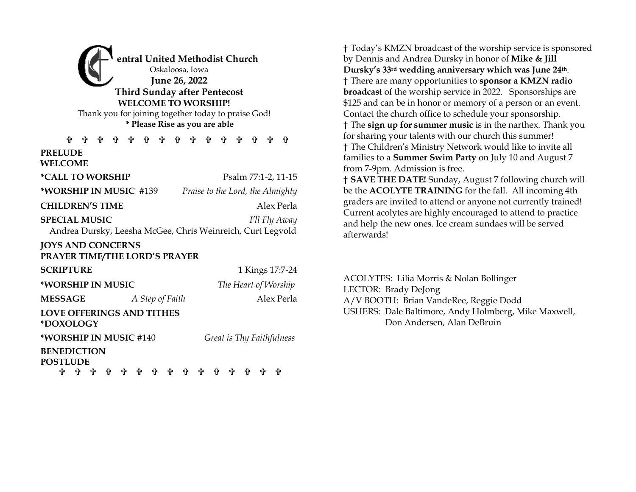**entral United Methodist Church** Oskaloosa, Iowa **June 26, 2022 Third Sunday after Pentecost WELCOME TO WORSHIP!**  Thank you for joining together today to praise God! **\* Please Rise as you are able**

**ሱ ሱ ሱ ሱ ሱ ሱ ሱ ሱ ሱ PRELUDE WELCOME** 

**\*CALL TO WORSHIP** Psalm 77:1-2, 11-15

**\*WORSHIP IN MUSIC** #139 *Praise to the Lord, the Almighty*

#### **CHILDREN'S TIME** Alex Perla

**SPECIAL MUSIC** *I'll Fly Away*

Andrea Dursky, Leesha McGee, Chris Weinreich, Curt Legvold

## **JOYS AND CONCERNS**

### **PRAYER TIME/THE LORD'S PRAYER**

| <b>SCRIPTURE</b>                              |                 | 1 Kings 17:7-24           |
|-----------------------------------------------|-----------------|---------------------------|
| *WORSHIP IN MUSIC                             |                 | The Heart of Worship      |
| <b>MESSAGE</b>                                | A Step of Faith | Alex Perla                |
| <b>LOVE OFFERINGS AND TITHES</b><br>*DOXOLOGY |                 |                           |
| *WORSHIP IN MUSIC #140                        |                 | Great is Thy Faithfulness |
| <b>BENEDICTION</b><br>$\Omega$                |                 |                           |

**POSTLUDE . . . . . . . . . .** . . . † Today's KMZN broadcast of the worship service is sponsored by Dennis and Andrea Dursky in honor of **Mike & Jill Dursky's 33rd wedding anniversary which was June 24th**. † There are many opportunities to **sponsor a KMZN radio broadcast** of the worship service in 2022. Sponsorships are \$125 and can be in honor or memory of a person or an event. Contact the church office to schedule your sponsorship. † The **sign up for summer music** is in the narthex. Thank you for sharing your talents with our church this summer! † The Children's Ministry Network would like to invite all families to a **Summer Swim Party** on July 10 and August 7 from 7-9pm. Admission is free.

† **SAVE THE DATE!** Sunday, August 7 following church will be the **ACOLYTE TRAINING** for the fall. All incoming 4th graders are invited to attend or anyone not currently trained! Current acolytes are highly encouraged to attend to practice and help the new ones. Ice cream sundaes will be served afterwards!

ACOLYTES: Lilia Morris & Nolan Bollinger LECTOR: Brady DeJong A/V BOOTH: Brian VandeRee, Reggie Dodd USHERS: Dale Baltimore, Andy Holmberg, Mike Maxwell, Don Andersen, Alan DeBruin